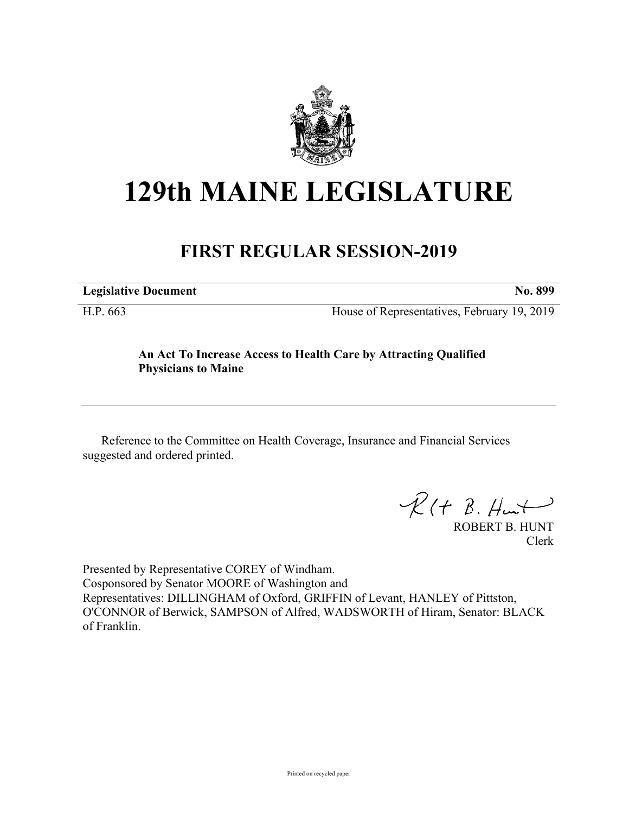

# **129th MAINE LEGISLATURE**

## **FIRST REGULAR SESSION-2019**

**Legislative Document No. 899**

H.P. 663 House of Representatives, February 19, 2019

### **An Act To Increase Access to Health Care by Attracting Qualified Physicians to Maine**

Reference to the Committee on Health Coverage, Insurance and Financial Services suggested and ordered printed.

 $R(H B. H<sub>un</sub>+)$ 

ROBERT B. HUNT Clerk

Presented by Representative COREY of Windham. Cosponsored by Senator MOORE of Washington and Representatives: DILLINGHAM of Oxford, GRIFFIN of Levant, HANLEY of Pittston, O'CONNOR of Berwick, SAMPSON of Alfred, WADSWORTH of Hiram, Senator: BLACK of Franklin.